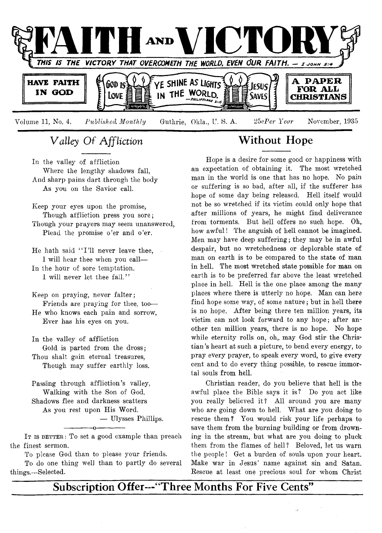

# **V** *alley O f Affliction*

In the valley of affliction Where the lengthy shadows fall, And sharp pains dart through the body As you on the Savior call.

Keep your eyes upon the promise, Though affliction press you sore; Though your prayers may seem unanswered, Plead the promise o'er and o'er.

He hath said "I'll never leave thee, I will hear thee when you call—

In the hour of sore temptation. I will never let thee fall."

Keep on praying, never falter; Friends are praying for thee, too— He who knows each pain and sorrow, Ever has his eyes on you.

In the valley of affliction Gold is parted from the dross; Thou shalt gain eternal treasures, Though may suffer earthly loss.

Passing through affliction's valley, Walking with the Son of God. Shadows flee and darkness scatters As you rest upon His Word. — Ulysses Phillips.

IT IS BETTER: To set a good example than preach the finest sermon.

------------- o-------------

To please God than to please your friends.

To do one thing well than to partly do several things.—Selected.

# **Without Hope**

Hope is a desire for some good or happiness with an expectation of obtaining it. The most wretched man in the world is one that has no hope. No pain or suffering is so bad, after all, if the sufferer has hope of some day being released. Hell itself would not be so wretched if its victim could only hope that after millions of years, he might find deliverance from torments. But hell offers no such hope. Oh, how awful! The anguish of hell cannot be imagined. Men may have deep suffering; they may be in awful despair, but no wretchedness or deplorable state of man on earth is to be compared to the state of man in hell. The most wretched state possible for man on earth is to be preferred far above the least wretched place in hell. Hell is the one place among the many places where there is utterly no hope. Man can here find hope some way, of some nature; but in hell there is no hope. After being there ten million years, its victim can not look forward to any hope; after another ten million years, there is no hope. No hope while eternity rolls on, oh, may God stir the Christian 's heart at such a picture, to bend every energy, to pray every prayer, to speak every word, to give every cent and to do every thing possible, to rescue immortal souls from hell.

Christian reader, do you believe that hell is the awful place the Bible says it is? Do you act like you really believed it? All around you are many who are going down to hell. What are you doing to rescue them? You would risk your life perhaps to save them from the burning building or from drowning in the stream, but what are you doing to pluck them from the flames of hell? Beloved, let us warn the people! Get a burden of souls upon your heart. Make war in Jesus' name against sin and Satan. Rescue at least one precious soul for whom Christ

**Subscription Offer—"Three Months For Five Cents"**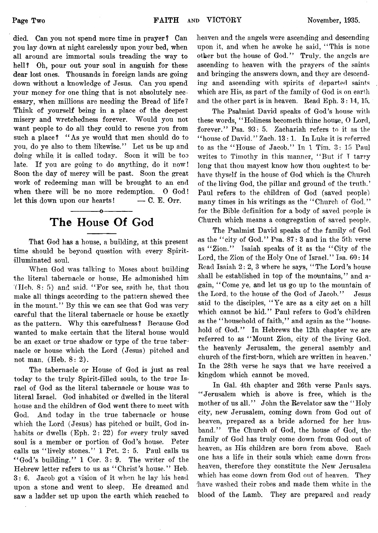died. Can yon not spend more time in prayer? Can you lay down at night carelessly upon your bed, when all around are immortal souls treading the way to hell? Oh, pour out your soul in anguish for these dear lost ones. Thousands in foreign lands are going down without a knowledge of Jesus. Can yon spend your money for one thing that is not absolutely necessary, when millions are needing the Bread of life? Think of yourself being in a place of the deepest misery and wretchedness forever. Would you not want people to do all they could to rescue you from such a place? "As ye would that men should do to you, do ye also to them likewise." Let us be up and doing while it is called today. Soon it will be too late. If you are going to do anything, do it now! Soon the day of mercy will be past. Soon the great work of redeeming man will be brought to an end when there will be no more redemption. 0 God! let this down upon our hearts!  $-$  C. E. Orr.

# **The House Of God**

------------- o-------------

That God has a house, a building, at this present time should be beyond question with every Spiritilluminated soul.

When God was talking to Moses about building the literal tabernacle or house, He admonished him (Heb. 8: 5) and said. " For see, saith he, that thou make all things according to the pattern shewed thee in the mount." By this we can see that God was very careful that the literal tabernacle or house be exactly as the pattern. Why this carefulness ? Because God wanted to make certain that the literal house would be an exact or true shadow or type of the true tabernacle or house which the Lord (Jesus) pitched and not man.  $(Heb. 8: 2)$ .

The tabernacle or House of God is just as real today to the truly Spirit-filled souls, to the true Israel of God as the literal tabernacle or house was to literal Israel. God inhabited or dwelled in the literal house and the children of God went there to meet with God. And today in the true tabernacle or house which the Lord (Jesus) has pitched or built, God inhabits or dwells (Eph. 2: 22) for every truly saved soul is a member or portion of God's house. Peter calls us "lively stones." 1 Pet. 2: 5. Paul calls us " God's building." 1 Cor. 3: 9. The writer of the Hebrew letter refers to us as " Christ's house." Heb. 3: 6. Jacob got a vision of it when he lay his head upon a stone and went to sleep. He dreamed and saw a ladder set up upon the earth which reached to heaven and the angels were ascending and descending upon it, and when he awoke he said, "This is none other but the house of God." Truly, the angels are ascending to heaven with the prayers of the saints and bringing the answers down, and they are descending and ascending with spirits of departed saints which are His, as part of the family of God is on earth and the other part is in heaven. Read Eph. 3 : 14, 15.

The Psalmist David speaks of God's house with these words, " Holiness becometh thine house, 0 Lord, forever." Psa. 93: 5. Zachariah refers to it as the "house of David." Zach. 13: 1. In Luke it is referred to as the " House of Jacob." In 1 Tim. 3: 15 Paul writes to Timothy in this manner, " But if T tarry long that thou mayest know how thou oughtest to behave thyself in the house of God which is the Church of the living God, the pillar and ground of the truth.' Paul refers to the children of God (saved people) many times in his writings as the "Church of God," for the Bible definition for a body of saved people is Church which means a congregation of saved people.

The Psalmist David speaks of the family of God as the "city of God." Psa.  $87:3$  and in the 5th verse as "Zion." Isaiah speaks of it as the "City of the Lord, the Zion of the Holy One of Israel." Isa. 60:14 Read Isaiah 2: 2, 3 where he says, " The Lord's house .shall be established in top of the mountains," and a- (gain, \*\* Come ye, and let us go up to the mountain of the Lord, to the house of the God of Jacob." Jesus said to the disciples, "Ye are as a city set on a hill which cannot be hid." Paul refers to God's children as the "household of faith," and again as the "household of God." In Hebrews the 12th chapter we are referred to as "Mount Zion, city of the living God, the heavenly Jerusalem, the general asembly and church of the first-born, which are written in heaven.' In the 28th verse he says that we have received a kingdom which cannot be moved.

In Gal. 4th chapter and 26th verse Pauls says. " Jerusalem which is above is free, which is the mother of us all." John the Revelator saw the " Holy city, new Jerusalem, coming down from God out of heaven, prepared as a bride adorned for her husband." The Church of God, the house of God, the family of God has truly come down from God out ot heaven, as His children are born from above. Each one has a life in their souls which came down from, heaven, therefore they constitute the New Jerusalem which has come down from God out of heaven. They 'have washed their robes and made them white in the blood of the Lamb. They are prepared and ready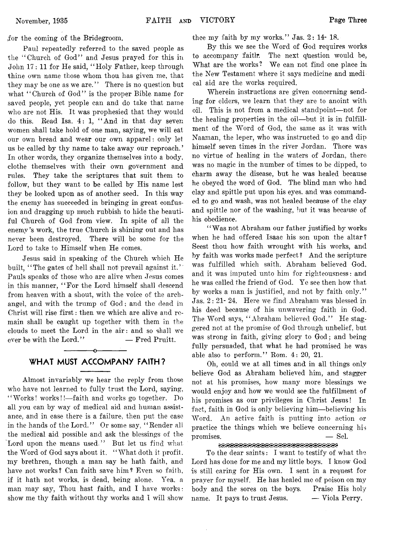for the coming of the Bridegroom.

Paul repeatedly referred to the saved people as the " Church of God" and Jesus prayed for this in John 17: 11 for He said, " Holy Father, keep through thine own name those whom thou has given me, that they may be one as we are." There is no question but what "Church of God" is the proper Bible name for saved people, yet people can and do take that name who are not His. It was prophesied that they would do this. Read Isa. 4: 1, " And in that day seven women shall take hold of one man, saying, we will eat our own bread and wear our own apparel: only let us be called by thy name to take away our reproach.' In other words, they organize themselves into a body, clothe themselves with their own government and rules. They take the scriptures that suit them to follow, but they want to be called by His name lest they be looked upon as of another seed. In this way the enemy has succeeded in bringing in great confusion and dragging up much rubbish to hide the beautiful Church of God from view. In spite of all the enemy's work, the true Church is shining out and has never been destroyed. There will be some for the Lord to take to Himself when He comes.

Jesus said in speaking of the Church which He built, "The gates of hell shall not prevail against it." Pauls speaks of those who are alive when Jesus comes in this manner, " For the Lord himself shall descend from heaven with a shout, with the voice of the archangel, and with the trump of God ; and the dead in Christ will rise first: then we which are alive and remain shall be caught up together with them in the clouds to meet the Lord in the air: and so shall we ever be with the Lord." — Fred Pruitt.

## ------------- o---------- — **WHAT MUST ACCOMPANY FAITH?**

Almost invariably we hear the reply from those who have not learned to fully trust the Lord, saying, " Works! works!!— faith and works go together. Do all you can by way of medical aid and human assistance, and in case there is a failure, then put the case in the hands of the Lord." Or some say, "Render all the medical aid possible and ask the blessings of the Lord upon the means used." But let us find what the Word of God says about it. "What doth it profit, my brethren, though a man say he hath faith, and have not works? Can faith save him? Even so faith, if it hath not works, is dead, being alone. Yea. a man may say, Thou hast faith, and I have works: show me thy faith without thy works and I will show thee my faith by my works." Jas. 2: 14- 18.

By this we see the Word of God requires works to accompany faith. The next question would be, What are the works? We can not find one place in the New Testament where it says medicine and medi cal aid are the works required.

Wherein instructions are given concerning sending for elders, we learn that they are to anoint with oil. This is not from a medical standpoint—not for the healing properties in the oil—but it is in fulfillment of the Word of God, the same as it was with Naaman, the leper, who was instructed to go and dip himself seven times in the river Jordan. There was no virtue of healing in the waters of Jordan, there was no magic in the number of times to be dipped, to charm away the disease, but he was healed because he obeyed the word of God. The blind man who had clay and spittle put upon his eyes, and was commanded to go and wash, was not healed because of the clay and spittle nor of the washing, but it was because of his obedience.

"Was not Abraham our father justified by works when he had offered Isaac his son upon the altar? Seest thou how faith wrought with his works, and by faith was works made perfect ? And the scripture was fulfilled which saith. Abraham believed God, and it was imputed unto him for righteousness: and he was called the friend of God. Ye see then how that by works a man is justified, and not by faith only." Jas. 2: 21- 24. Here we find Abraham was blessed in his deed because of his unwavering faith in God. The Word says, "Abraham believed God." He staggered not at the promise of God through unbelief, but was strong in faith, giving glory to God; and being fully persuaded, that what he had promised he was able also to perform." Rom. 4: 20, 21.

Oh, could we at all times and in all things only believe God as Abraham believed him, and stagger not at his promises, how many more blessings we would enjoy and how we would see the fulfillment of his promises as our privileges in Christ Jesus! In fact, faith in God is only believing him—believing his Word. An active faith is putting into action or practice the things which we believe concerning his promises.  $\qquad \qquad -$  Sel.

#### 

To the dear saints: I want to testify of what the Lord has done for me and my little boys. I know God is still caring for His own. I sent in a request for prayer for myself. He has healed me of poison on my body and the sores on the boys. Praise His holy name. It pays to trust Jesus, — Viola Perry,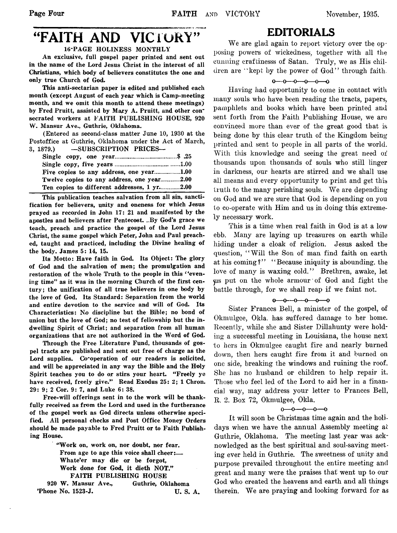## "FAITH AND VICTORY" 16-PAGE HOLINESS MONTHLY

An exclusive, full gospel paper printed and sent out in the name of the Lord Jesus Christ in the interest of all Christians, which body of believers constitutes the one and

only true Church of God. This anti-sectarian paper is edited and published each month (except August of each year which is Camp-meeting month, and we omit this month to attend these meetings) by Fred Pruitt, assisted by Mary A. Pruitt, and other consecrated workers at FAITH PUBLISHING HOUSE, 920 W. Mansur Ave., Guthrie, Oklahoma.

(Entered as second-class matter June 10, 1930 at the Postoffice at Guthrie, Oklahoma under the Act of March, 3, 1879.) — SUBSCRIPTION PRICES—

| Twelve copies to any address, one year2.00  |  |
|---------------------------------------------|--|
| Ten copies to different addresses, 1 yr2.00 |  |

This publication teaches salvation from all sin, sanctification for believers, unity and oneness for which Jesus prayed as recorded in John 17: 21 and manifested by the apostles and believers after Pentecost. ..By God's grace we teach, preach and practice the gospel of the Lord Jesus Christ, the same gospel which Peter, John and Paul preached, taught and practiced, including the Divine healing of the body. James 5: 14, 15.

Its Motto: Have faith in God. Its Object: The glory of God and the salvation of men; the promulgation and restoration of the whole Truth to the people in this *(*'evening time" as it was in the morning Church of the first century; the unification of all true believers in one body by the love of God. Its Standard: Separation from the world and entire devotion to the service and will of God. Its Characteristics: No discipline but the Bible; no bond of union but the love of God; no test of fellowship but the indwelling Spirit of Christ; and separation from all human organizations that are not authorized in the Word of God.

Through the Free Literature Fund, thousands of gospel tracts are published and sent out free of charge as the Lord supplies. Co-operation of our readers is solicited, and will be appreciated in any way the Bible and the Holy Spirit teaches you to do or stirs your heart. "Freely ye have received, freely give." Read Exodus 25: 2; 1 Chron. 29: 9; 2 Cor. 9: 7, and Luke 6: 38.

Free-will offerings sent in to the work will be thankfully received as from the Lord and used in the furtherance of the gospel work as God directs unless otherwise specified. All personal checks and Post Office Money Orders should be made payable to Fred Pruitt or to Faith Publishing House.

> " Work on, work on, nor doubt, nor fear. From age to age this voice shall cheer:— Whate'er may die or be forgot, Work done for God, it dieth NOT." FAITH PUBLISHING HOUSE

920 W. Mansur Ave., Guthrie, Oklahoma 'Phone No. 1523-J. U. S. A.

## **EDITORIALS**

We are glad again to report victory over the opposing powers of wickedness, together with all the cunning craftinesss of Satan. Truly, we as His children are ' 'kept by the power of God' ' through faith.

#### $0 - 0 - 0 - 0 - 0 - 0$

Having had opportunity to come in contact with many souls who have been reading the tracts, papers, pamphlets and books which have been printed and sent forth from the Faith Publishing House, we are convinced more than ever of the great good that is being done by this clear truth of the Kingdom being printed and sent to people in all parts of the world. With this knowledge and seeing the great need of thousands upon thousands of souls who still linger in darkness, our hearts are stirred and we shall use all means and every opportunity to print and get this truth to the many perishing souls. We are depending on God and we are sure that God is depending on you to co-operate with Him and us in doing this extremely necessary work.

This is a time when real faith in God is at a low ebb. Many are laying up treasures on earth while hiding under a cloak of religion. Jesus asked the question, " Will the Son of man find faith on earth at his coming?" "Because iniquity is abounding, the love of many is waxing cold." Brethren, awake, let yis put on the whole armour of God and fight the battle through, for we shall reap if we faint not.

#### $0 - 0 - 0 - 0 - 0$

Sister Frances Bell, a minister of the gospel, of Okmulgee, Okla. has suffered damage to her home. Recently, while she and Sister Dillahunty were holding a successful meeting in Louisiana, the house next to hers in Okmulgee caught fire and nearly burned down, then hers caught fire from it and burned on one side, breaking the windows and ruining the roof. She has no husband or children to help repair it. Those who feel led of the Lord to aid her in a financial way, may address your letter to Frances Bell, R. 2. Box 72, Okmulgee, Okla.

#### $0 - 0 - 0 - 0 - 0$

It will soon be Christmas time again and the holidays when we have the annual Assembly meeting at Guthrie, Oklahoma. The meeting last year was acknowledged as the best spiritual and soul-saving meeting ever held in Guthrie. The sweetness of unity and purpose prevailed throughout the entire meeting and great and many were the praises that went up to our God who created the heavens and earth and all things therein. We are praying and looking forward for as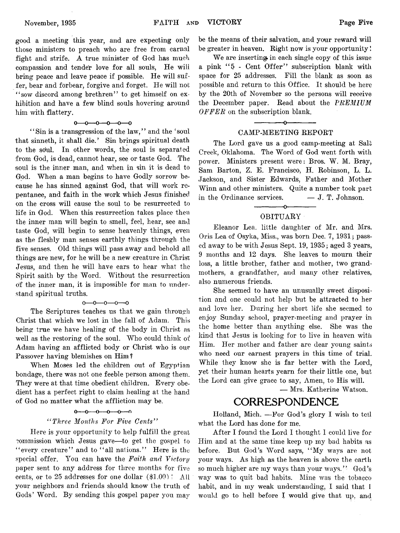good a meeting this year, and are expecting only those ministers to preach who are free from carnal fight and strife. A true minister of God has much compassion and tender love for all souls, He will bring peace and leave peace if possible. He will suffer, bear and forbear, forgive and forget. He will not " sow discord among brethren" to get himself on exhibition and have a few blind souls hovering around him with flattery.

#### $0 - 0 - 0 - 0 - 0$

' ' Sin is a transgression of the law,' ' and the ' soul that sinneth, it shall die.' Sin brings spiritual death to the sdul. In other words, the soul is separated from God, is dead, cannot hear, see or taste God. The soul is the inner man, and when in sin it is dead to God. When a man begins to have Godly sorrow because he has sinned against God, that will work repentance, and faith in the work which Jesus finished on the cross will cause the soul to be resurrected to life in God. When this resurrection takes place then the inner man will begin to smell, feel, hear, see and taste God, will begin to sense heavenly things, even as the fleshly man senses earthly things through the five senses. Old things will pass away and behold all things are new, for he will be a new creature in Christ Jesus, and then he will have ears to hear what the Spirit saith by the Word. Without the resurrection of the inner man, it is impossible for man to understand spiritual truths.

#### $0 - 0 - 0 - 0 - 0$

The Scriptures teaches us that we gain through Christ that which we lost in the fall of Adam. This being true we have healing of the body in Christ as well as the restoring of the soul. Who could think of Adam having an afflicted body or Christ who is our Passover having blemishes on Him ?

When Moses led the children out of Egyptian bondage, there was not one feeble person among them. They were at that time obedient children. Every obedient has a perfect right to claim healing at the hand of God no matter what the affliction may be.

#### $0 - 0 - 0 - 0 - 0$

#### *" Three Months For Five Cents"*

Here is your opportunity to help fulfill the great commission which Jesus gave— to get. the gospel to " every creature" and to "all nations." Here is the special offer. You can have the *Faith and Victory* paper sent to any address for three months for five cents, or to 25 addresses for one dollar (\$1.00) ! All your neighbors and friends should know the truth of Gods' Word. By sending this gospel paper you may

be the means of their salvation, and your reward will be greater in heaven. Right now is your opportunity!

We are inserting in each single copy of this issue a pink "5 - Cent Offer" subscription blank with space for 25 addresses. Fill the blank as soon as possible and return to this Office. It should be here by the 20th of November so the persons will receive the December paper. Read about the *PREMIUM OFFER* on the subscription blank.

#### $-$ CAMP-MEETING REPORT

The Lord gave us a good camp-meeting at Salt Creek, Oklahoma. The Word of God went forth with power. Ministers present were: Bros. W. M. Bray, Sam Barton, Z. E. Francisco, H. Robinson, L. L. Jackson, and Sister Edwards, Father and Mother Winn and other ministers. Quite a number took part in the Ordinance services.  $-$  J. T. Johnson.

#### ------------- o------------- OBITUARY

Eleanor Lea. little daughter of Mr. and Mrs. Oris Lea of Osyka, Miss., was born Dec. 7, 1931; passed away to be with Jesus Sept. 19, 1935; aged 3 years, 9 months and 12 days. She leaves to mourn their loss, a little brother, father and mother, two grandmothers, a grandfather, and many other relatives, also numerous friends.

She seemed to have an unusually sweet disposition and one could not help but be attracted to her and love her. During her short life she seemed to enjoy Sunday school, prayer-meeting and prayer in the home better than anything else. She was the kind that Jesus is looking for to live in heaven with Him. Her mother and father are dear young saints who need our earnest prayers in this time of trial. While they know she is far better with the Lord, yet their human hearts yearn for their little one, but the Lord can give grace to say, Amen, to His will.

— Mrs. Katherine Watson.

## **CORRESPONDENCE**

Holland, Mich. — For God's glory I wish to tell what the Lord has done for me.

After I found the Lord I thought I could live for Him and at the same time keep up my bad habits as before. But God's Word says, "My ways are not your ways. As high as the heaven is above the earth so much higher are my ways than your ways." God's way was to quit bad habits. Mine was the tobacco habit, and in my weak understanding, I said that I would go to hell before I would give that up. and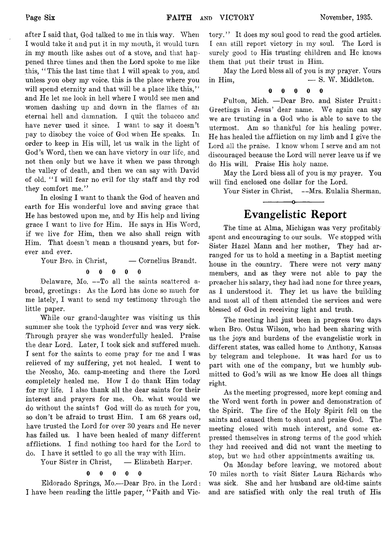after I said that, God talked to me in this way. When I would take it and put it in my mouth, it would turn in my mouth like ashes out of a stove, and that happened three times and then the Lord spoke to me like this, " This the last time that I will speak to you, and unless you obey my voice, this is the place where you will spend eternity and that will be a place like this," and He let me look in hell where I would see men and women dashing up and down in the flames of an eternal hell and damnation. I quit the tobacco and have never used it since. I want to say it doesn't pay to disobey the voice of God when He speaks. In order to keep in His will, let us walk in the light of God's Word, then we can, have victory in our life, and

not then only but we have it when we pass through the valley of death, and then we can say with David of old. " I will fear no evil for thy staff and thy rod they comfort me."

In closing I want to thank the God of heaven and earth for His wonderful love and saving grace that He has bestowed upon me, and by His help and living grace I want to live for Him. He says in His Word, if we live for Him, then we also shall reign with Him. That doesn't mean a thousand years, but forever and ever.

Your Bro. in Christ,  $\qquad -$  Cornelius Brandt.

0 0 0 0 0 Delaware, Mo. — To all the saints scattered abroad, greetings: As the Lord has done so much for me lately, I want to send my testimony through the little paper.

While our grand-daughter was visiting us this summer she took the typhoid fever and was very sick. Through prayer she was wonderfully healed. Praise the dear Lord. Later, I took sick and suffered much. I sent for the saints to come pray for me and I was relieved of my suffering, yet not healed. I went to the Neosho, Mo. camp-meeting and there the Lord completely healed me. How I do thank Him today for my life. I also thank all the dear saints for their interest and prayers for me. Oh. what would we do without the saints ? God will do as much for you, so don't be afraid to trust Him. I am 68 years oid, have trusted the Lord for over 30 years and He never has failed us. I have been healed of many different afflictions. I find nothing too hard for the Lord to do. I have it settled to go all the way with Him.

Your Sister in Christ, — Elizabeth Harper.

#### 0 0 0 0 0

Eldorado Springs, Mo.— Dear Bro. in the Lord: I have been reading the little paper, " Faith and Victory." It does my soul good to read the good articles. I can still report victory in my soul. The Lord is surely good to His trusting children and He knows them that put their trust in Him.

May the Lord bless all of you is my prayer. Yours  $\lim_{m \to \infty}$   $\lim_{m \to \infty}$   $\lim_{m \to \infty}$   $\lim_{m \to \infty}$   $\lim_{m \to \infty}$   $\lim_{m \to \infty}$ 

## 0 0 0 0 0

Fulton, Mich. — Dear Bro. and Sister Pruitt: Greetings in Jesus' dear name. We again can say we are trusting in a God who is able to save to the utermost. Am so thankful for his healing power. He has healed the affliction on my limb and I give the Lord all the praise. I know whom I serve and am not discouraged because the Lord will never leave us if we do His will. Praise His holy name.

May the Lord bless all of you is my prayer. You will find enclosed one dollar for the Lord.

Your Sister in Christ, --Mrs. Eulalia Sherman.

# **Evangelistic Report**

---------------*o-*--------------

The time at Alma, Michigan was very profitably spent and encouraging to our souls. We stopped with Sister Hazel Mann and her mother, They had arranged for us to hold a meeting in a Baptist meeting house in the country. There were not very many members, and as they were not able to pay the preacher his salary, they had had none for three years, as I understood it. They let us have the building and most all of them attended the services and were blessed of God in receiving light and truth.

The meeting had just been in progress two days when Bro. Ostus Wilson, who had been sharing with us the joys and burdens of the evangelistic work in different states, was called home to Anthony, Kansas by telegram and telephone. It was hard for us to part with one of the company, but we humbly submitted to God's will as we know He does all things right.

As the meeting progressed, more kept coming and the Word went forth in power and demonstration of the Spirit. The fire of the Holy Spirit fell on the saints and caused them to shout and praise God. The meeting closed with much interest, and some expressed themselves in strong terms of the good which they had received and did not want the meeting to stop, but we had other appointments awaiting us.

On Monday before leaving, we motored about 70 miles north to visit Sister Laura Richards who was sick. She and her husband are old-time saints and are satisfied with only the real truth of His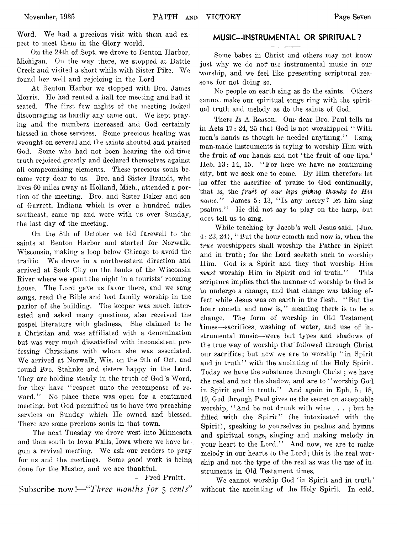Word. We had a precious visit with them and  $ex$ . pect to meet them in the Glory world.

On the 24th of Sept, we drove to Benton Harbor, Michigan. On the way there, we stopped at Battle Creek and visited a short while with Sister Pike. We found her well and rejoicing in the Lord

At Benton Harbor we stopped with Bro. James Morris. He had rented a hall for meeting and had it seated. The first few nights of the meeting looked discouraging as hardly any came out. We kept praying and the numbers increased and God certainly blessed in those services. Some precious healing was wrought on several and the saints shouted and praised God. Some who had not been hearing the old-time truth rejoiced greatly and declared themselves against all compromising elements. These precious souls became very dear to us. Bro. and Sister Brandt, who lives 60 miles away at Holland, Mich., attended a portion of the meeting. Bro. and Sister Baker and son of Garrett, Indiana which is over a hundred miles southeast, came up and were with us over Sunday, the last day of the meeting.

On the 8th of October we bid farewell to the saints at Benton Harbor and started for Norwalk, Wisconsin, making a loop below Chicago to avoid the traffic. We drove in a northwestern direction and arrived at Sauk City on the banks of the Wisconsin River where we spent the night in a tourists' rooming house. The Lord gave us favor there, and we sang songs, read the Bible and had family worship in the parlor of the building. The keeper was much interested and asked many questions, also received the gospel literature with gladness. She claimed to be a Christian and was affiliated with a denomination but was very much dissatisfied with inconsistent professing Christians with whom she was associated. We arrived at Norwalk, Wis. on the 9th of Oct. and found Bro. Stahnke and sisters happy in the Lord. They are holding steady in the truth of God's Word, for they have "respect unto the recompense of reward." No place there was open for a continued meeting, but God permitted us to have two preaching services on Sunday which He owned and blessed. There are some precious souls in that town.

The next Tuesday we drove west into Minnesota and then south to Iowa Falls, Iowa where we have begun a revival meeting. We ask our readers to pray for us and the meetings. Some good work is being done for the Master, and we are thankful.

— Fred Pruitt.

Subscribe now*!— " Three months for* 5 *cents''*

#### **MUSIC—INSTRUMENTAL OR SPIRITUAL?**

Some babes in Christ and others may not know just why we do *not* use instrumental music in our worship, and we feel like presenting scriptural reasons for not doing so.

No people on earth sing as do the saints. Others cannot make our spiritual songs ring with the spiritual truth and melody as do the saints of God.

There *Is*  $\Lambda$  Reason. Our dear Bro. Paul tells us in Acts 17: 24, 25 that God is not worshipped " With men's hands as though he needed anything." Using man-made instruments is trying to worship Him with the fruit of our hands and not 'the fruit of our lips.' Heb. 13: 14, 15. "For here we have no continuing city, but we seek one to come. By Him therefore let lus offer the sacrifice of praise to God continually, that is, the *fruit of our lips giving thanks to His name."* James 5: 13, " Is any merry? let him sing psalms.7' He did not say to play on the harp, but does tell us to sing.

While teaching by Jacob's well Jesus said. (Jno. 4: 23, 24), " But the hour cometh and now is, when the *true* worshippers shall worship the Father in Spirit and in truth; for the Lord seeketh such to worship Him. God is a Spirit and they that worship Him *must* worship Him in Spirit and in! truth." This scripture implies that the manner of worship to God is to undergo a change, and that change was taking effect while Jesus was on earth in the flesh. " But the hour cometh and now is," meaning there is to be a change. The form of worship in Old Testament times—sacrifices, washing of water, and use of instrumental music—were but types and shadows of the true way of worship that' followed through Christ our sacrifice; but now we are to worship "in Spirit and in truth" with the anointing of the Holy Spirit. Today we have the substance through Christ; we have the real and not the shadow, and are to "worship God in Spirit and in truth." And again in Eph. 5: 18, 19, God through Paul gives us the secret on acceptable worship, " And be not drunk with wine . . . ; but be filled with the Spirit" (be intoxicated with the Spirit), speaking to yourselves in psalms and hymns and spiritual songs, singing and making melody in your heart to the Lord." And now, we are to make melody in our hearts to the Lord; this is the real worship and not the type of the real as was the use of instruments in Old Testament times.

We cannot worship God 'in Spirit and in truth' without the anointing of the Holy Spirit. In cold.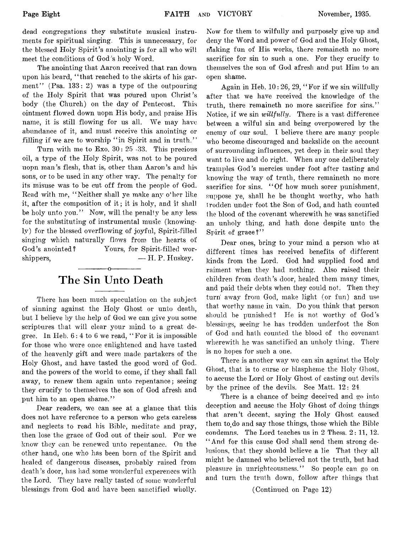dead congregations they substitute musical instruments for spiritual singing. This is unnecessary, for the blessed Holy Spirit's anointing is for all who will meet the conditions of God 's holy Word.

The anointing that Aaron received that ran down upon his beard, " that reached to the skirts of his garment" (Psa.  $133: 2$ ) was a type of the outpouring of the Holy Spirit that was poured upon Christ's body (the Church) on the day of Pentecost. This ointment flowed down uopn His body, and praise His name, it is still flowing for us all. We may have abundance of it, and must receive this anointing or filling if we are to worship "in Spirit and in truth."

Turn with me to Exo. 30: 25 -33. This precious oil, a type of the Holy Spirit, was not to be poured uopn man's flesh, that is, other than Aaron's and his sons, or to be used in any other way. The penalty for its misuse was to be cut off from the people of God. Read with me, "Neither shall ye make any other like it, after the composition of it ; it is holy, and it shall be holy unto you." Now, will the penalty be any less for the substituting of instrumental music (knowingly) for the blessed overflowing of joyful, Spirit-filled singing which naturally flows from the hearts of God's anointed? Yours, for Spirit-filled worshippers,  $- H. P. Huskey.$ 

## ------------- o------------- **The Sin Unto Death**

There has been much speculation on the subject of sinning against the Holy Ghost or unto death, but I believe by the help of God we can give you some scriptures that will clear your mind to a great degree. In Heb. 6: 4 to 6 we read, ' ' For it is impossible for those who were once enlightened and have tasted of the heavenly gift and were made partakers of the Holy Ghost, and have tasted the good word of God. and the powers of the world to come, if they shall fall away, to renew them again unto repentance; seeing they crucify to themselves the son of God afresh and put him to an open shame."

Dear readers, we can see at a glance that this does not have reference to a person who gets careless and neglects to read his Bible, meditate and pray, then lose the grace of God out of their soul. For we know they can be renewed unto repentance. On the other hand, one who has been born of the Spirit and healed of dangerous diseases, probably raised from death's door, has had some wonderful experences with the Lord. They have really tasted of some wonderful blessings from God and have been sanctified wholly.

Now for them to wilfully and purposely give 'up and deny the Word and power of God and the Holy Ghost, making fun of His works, there remaineth no more sacrifice for sin to such a one. For they crucify to themselves the son of God afresh and put Him to an open shame.

Again in Heb. 10: 26, 29, " For if we sin willfully after that we have received the knowledge of the truth, there remaineth no more sacrifice for sins." Notice, if we sin *willfully*. There is a vast difference between a wilful sin and being overpowered by the enemy of our soul. I believe there are many people who become discouraged and backslide on the account of surrounding influences, yet deep in their soul they want to live and do right. When any one deliberately tramples God's mercies under foot after tasting and knowing the way of truth, there remaineth no more sacrifice for sins. "Of how much sorer punishment, suppose ye, shall he be thought worthy, who hath trodden under foot the Son of God, and hath counted the blood of the covenant wherewith he was sanctified an unholy thing, and hath done despite unto the Spirit of grace?"

Dear ones, bring to your mind a person who at different times has received benefits of different kinds from the Lord. God had supplied food and raiment when they had nothing. Also raised their children from death's door, healed them many times, and paid their debts when they could not. Then they turn' away from God, make light (or fun) and use that worthy name in vain. Do you think that person should be punished? He is not worthy of God's blessings, seeing\* he has trodden underfoot the Son of God and hath counted the blood of the covenant wherewith he was sanctified an unholy thing. There is no hopes for such a one.

There is another way we can sin against the Holy Ghost, that is to curse or blaspheme the Holy Ghost, to accuse the Lord or Holy Ghost of casting out devils by the prince of the devils. See Matt. 12: 24

There is a chance of being deceived and go into deception and accuse the Holy Ghost of doing things that aren't decent, saying the Holy Ghost caused them to do and say those things, those which the Bible condemns. The Lord teaches us in 2 Thess. 2: 11, 12. " And for this cause God shall send them strong delusions, that they should believe a lie That they all might be damned who believed not the truth, but had pleasure in unrighteousness." So people can go on and turn the truth down, follow after things that

(Continued on Page 12)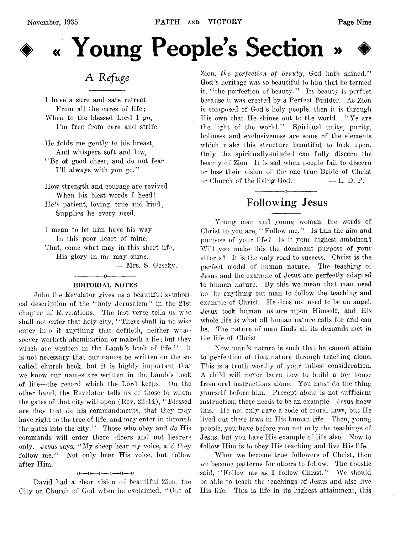

# « Young People's Section

# **A** *Refuge*

I have a sure and safe retreat From all the cares of life; When to the blessed Lord I go, I'm free from care and strife.

He folds me gently to his breast, And whispers soft and low, " Be of good cheer, and do not fear: I'll always with you go."

How strength and courage are revived When his blest words I heed! He's patient, loving, true and kind; Supplies he every need.

I mean to let him have his way In this poor heart of mine, That, come what may in this short life, His glory in me may shine.

— Mrs. S. Geseky.

#### $-$  0  $-$  0  $-$ EDITORIAL NOTES

John the Revelator gives us a beautiful symbolical description of the " holy Jerusalem" in the 21st chapter of Revelations. The last verse tells us who shall not enter that holy city, " There shall in no wise enter into it anything that defileth, neither whatsoever worketh abomination or maketh a lie; but they which are written in the Lamb's book of life." It is not necessary that our names be written on the socalled church, book, but it is highly important that we know our names are written in the Lamb's book of life— the record which the Lord keeps. On the other hand, the Revelator tells us of those to whom the gates of that city will open (Rev. 22 :14), " Blessed are they that do his commandments, that they may have right to the tree of life, and may enter in through the gates into the city." Those who obey and *do* His commands will enter there— doers and not hearers only. Jesus says, " My sheep hear my voice, and they follow me." Not only hear His voice, but follow after Him.

#### $0 - 0 - 0 - 0 - 0 - 0$

David had a clear vision of beautiful Zion, the City or Church of God when he exclaimed, " Out of

Zion, *the perfection of beauty,* God hath shined." God's heritage was so beautiful to him that he termed it, " the perfection of beauty." Its beauty is perfect because it was erected by a Perfect Builder. As Zion is composed of God's holy people, then it is through His own that He shines out to the world. "Ye are the light of the world." Spiritual unity, purity, holiness and exclusiveness are some of the elements which make this structure beautiful to look upon. Only the spirituallv-minded can fully discern the beauty of Zion It is sad when people fail to discern or lose their vision of the one true Bride of Christ or Church of the living God.  $- L$ . D. P.

## ------------- o---------.— **Following Jesus**

Young man and young woman, the words of Christ to you are, " Follow me." Is this the aim and purpose of your life? Is it your highest ambition? Will you make this the dominant purpose of your effor  $s$ ? It is the only road to success. Christ is the perfect model of human nature. The teaching of Jesus and the example of Jesus are perfectly adapted to human nature. By this we mean that man need no be anything but man to follow the teaching and example of Christ. He docs not need to be an angel. Jesus took human nature upon Himself, and His whole life is what all human nature calls for and can be. The nature of man finds ail its demands met in the life of Christ.

Now man's nature is such that he cannot attain to perfection of that nature through teaching alone. This is a truth worthy of your fullest consideration. A child will never learn how to build a *toy* house from oral instructions alone. You must do the thing yourself before him. Precept alone is not sufficient 'instruction, there needs to be an example. Jesus knew this. He not only gave a code of moral laws, but He lived out these laws in His human life. Then, young people, you have before you not only the teachings of Jesus, but you have His example of life also. Now to follow Him is to obey His teaching and live His life.

When we become true followers of Christ, then we become patterns for others to follow. The apostle said, "Follow me as I follow Christ." We should be able to teach the teachings of Jesus and also live His life. This is life in its highest attainment, this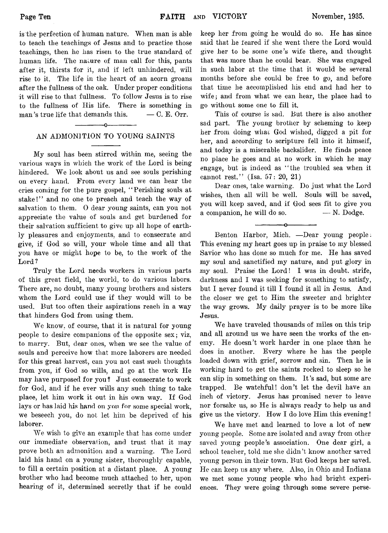is the perfection of human nature. When man is able to teach the teachings of Jesus and to practice those teachings, then he has risen to the true standard of human life. The nature of man call for this, pants after it, thirsts for it, and if left unhindered, will rise to it. The life in the heart of an acorn groans after the fullness of the oak. Under proper conditions it will rise to that fullness. To follow Jesus is to rise to the fullness of His life. There is something in man's true life that demands this.  $- C. E.$  Orr.

### ------------- o------------- AN ADMONITION TO YOUNG SAINTS

My soul has been stirred within me, seeing the various ways in which the work of the Lord is being hindered. We look about us and see souls perishing on every hand. From every land we can hear the cries coming for the pure gospel, " Perishing souls at stake!" and no one to preach and teach the way of salvation to them. O dear young saints, can you not appreciate the value of souls and get burdened for their salvation sufficient to give up all hope of earthly pleasures and enjoyments, and to consecrate and give, if God so will, your whole time and all that you have or might hope to be, to the work of the Lord ?

Truly the Lord needs workers in various parts of this great field, the world, to do various labors. There are, no doubt, many young brothers and sisters whom the Lord could use if they would will to be used. But too often their aspirations reach in a way that hinders God from using them.

We know, of course, that it is natural for young people to desire companions of the opposite sex; viz, to marry. But, dear ones, when we see the value of souls and perceive how that more laborers are needed for this great harvest, can you not cast such thoughts from you, if God so wills, and go at the work He may have purposed for you ? Just consecrate to work for God, and if he ever wills any such thing to take place, let him work it out in his own way. If God lays or has laid his hand on yon for some special work, we beseech you, do not let him be deprived of his laborer.

We wish to give an example that has come under our immediate observation, and trust that it may prove both an admonition and a warning. The Lord laid his hand on a young sister, thoroughly capable, to fill a certain position at a distant place. A young brother who had become much attached to her, upon hearing of it, determined secretly that if he could keep her from going he would do so. He has since said that he feared if she went there the Lord would give her to be some one's wife there, and thought that was more than he could bear. She was engaged in such labor at the time that it would be several months before she could be free to go, and before that time he accomplished his end and had her to wife; and from what we can hear, the place had to go without some one to fill it.

This of course is sad. But there is also another sad part. The young brother by scheming to keep her from doing wliac God wished, digged a pit for her, and according to scripture fell into it himself, and today is a miserable backslider. He finds peace no place he goes and at no work in which he may engage, but is indeed as " the troubled sea when it cannot rest." (Isa. 57: 20, 21)

Dear ones, take warning. Do just what the Lord wishes, then all will be well. Souls will be saved, you will keep saved, and if God sees fit to give you a companion, he will do so.  $- N. Dodge.$ 

 $-0$ 

Benton Harbor, Mich. — Dear young people: This evening my heart goes up in praise to my blessed Savior who has done so much for me. He has saved my soul and sanctified my nature, and put glory in my soul. Praise the Lord! I was in doubt, strife, darkness and I was seeking for something to satisfy, but I never found it till I found it all in Jesus. And the. closer we get to Him the sweeter and brighter the way grows. My daily prayer is to be more like Jesus.

We have traveled thousands of miles on this trip and all around us we have seen the works of the enemy. He doesn't work harder in one place than he does in another. Every where he has the people loaded down with grief, sorrow and sin. Then he is working hard to get the saints rocked to sleep so he can slip in something on them. It's sad, but some are trapped. Be watchful! don't let the devil have an inch of victory. Jesus has promised never to leave nor forsake us, so He is always ready to help us and give us the victory. How I do love Him this evening!

We have met and learned to love a lot of new young people. Some are isolated and away from other saved young people's association. One dear girl, a school teacher, told me she didn't know another saved young person in their town. But God keeps her saved. He can keep us any where. Also, in Ohio and Indiana we met some young people who had bright experiences. They were going through some severe perse-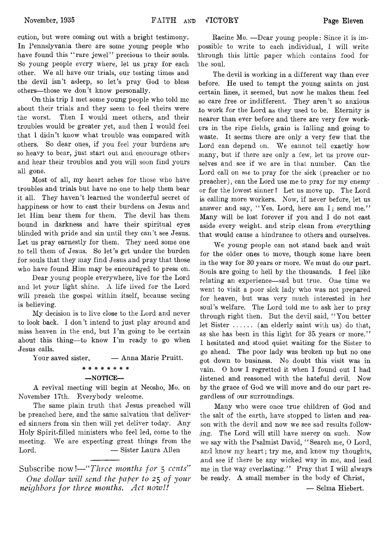eution, but were coming out with a bright testimony. In Pennslyvania there are some young people who have found this "rare jewel" precious to their souls. So young people every where, let us pray for each other. We all have our trials, our testing times and the devil isn't asleep, so let's pray God to bless others— those we don't know personally.

On this trip I met some young people who told me about their trials and they seem to feel theirs were the worst. Then I would meet others, and their troubles would be greater yet, and then I would feel that 1 didn't know what trouble was compared with others. So dear ones, if you feel your burdens are so heavy to bear, just start out and encourage others and hear their troubles and you will soon find yours all gone.

Most of all, my heart aches for those who have troubles and trials but have no one to help them bear it all. They haven't learned the wonderful secret of happiness or how to cast their burdens on Jesus and let Him bear them for them. The devil has them bound in darkness and have their spiritual eyes blinded with pride and sin until they can't see Jesus. Let us pray earnestly for them. They need some one to tell them of Jesus. So let's get under the burden for souls that they may find Jesus and pray that those who have found Him may be encouraged to press on.

Dear young people everywhere, live for the Lord and let your light shine. A life lived for the Lord will preach the gospel within itself, because seeing is believing.

My decision is to live close to the Lord and never to look back. I don't intend to just play around and miss heaven in the end, but  $\Gamma'$ m going to be certain about this thing—to know I'm ready to go when Jesus calls.

Your saved sister,  $\qquad$  — Anna Marie Pruitt.

#### w w w w w w w *At\**

#### — NOTICE—

A revival meeting will begin at Neosho, Mo. on November 17th. Everybody welcome.

The same plain truth that Jesus preached will be preached here, and the same salvation that delivered sinners from sin then will yet deliver today. Any Holy Spirit-filled ministers who feel led, come to the meeting. We are expecting great things from the Lord. — Sister Laura Allen

Subscribe now*!— " Three months for* 5 *cents' One dollar will send the paper to 2*5 *of your neighbors for three months*. *Act nozv!!*

Racine Mo. —Dear young people: Since it is impossible to write to each individual, I will write (through this little paper which contains food for the soul.

The devil is working in a different way than ever before. He used to tempt the young saints on just certain lines, it seemed, but now he makes them feel so care free or indifferent. They aren't so anxious to work for the Lord as they used to be. Eternity is nearer than ever before and there are very few workers in the ripe fields, grain is falling and going to waste. It seems there are only a very few that the Lord can depend on. We cannot tell exactly how many, but if there are only a few, let us prove ourselves and see if we are in that number. Can the Lord call on *me* to pray for the sick (preacher or no preacher), can the Lord use me to pray for my enemy or for the lowest sinner ? Let us move up. The Lord is calling more workers. Now, if never before, let us answer and say, "Yes. Lord, here am I; send me." Many will be lost forever if you and I do not cast aside every weight, and strip clean from everything that would cause a hindrance to others and ourselves.

We young people can not stand back and wait for the older ones to move, though some have been in the way for 30 years or more. We must do our part. Souls are going to hell by the thousands. I feel like relating an experience— sad but true. One time we went to visit a poor sick lady who was not prepared for heaven, but was very much interested in her soul's welfare. The Lord told me to ask her to pray through right then. But the devil said, " You better let Sister  $\dots$ ...... (an elderly saint with us) do that, as she has been in this light for 35 years or more." I hesitated and stood quiet waiting for the Sister to go ahead. The poor lady was broken up but no one got down to business. No doubt this visit was in vain. 0 how I regretted it when I found out I had listened and reasoned with the hateful devil. Now by the grace of God we will move and do our part regardless of our surroundings.

Many who were once true children of God and the salt of the earth, have stopped to listen and reason with the devil and now we see sad results following. The Lord will still have mercy on such. Now we say with the Psalmist David, "Search me, O Lord, and know my heart; try me, and know my thoughts, (and see if there be any wicked way in me, and lead me in the way everlasting." Pray that I will always be ready. A small member in the body of Christ,

— Selma Hiebert.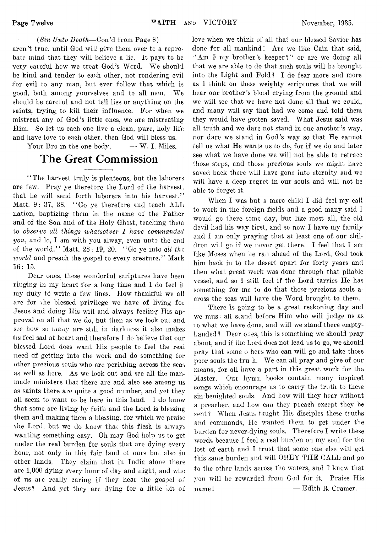#### *(Sin Unto Death*— Con'd from Page 8)

aren't true, until God will give them over to a reprobate mind that they will believe a lie. It pays to be very careful how we treat God's Word. We should be kind and tender to each other, not rendering evil for evil to any man, but ever follow that which is good, both among yourselves and to all men. We should be careful and not tell lies or anything on the saints, trying to kill their influence. For when we mistreat any of God's little ones, we are mistreating Him. So let us each one live a clean, pure, holy life and have love to each other, then God will bless us.

Your Bro in the one body,  $\qquad -W$ . I. Miles.

# **The Great Commission**

"The harvest truly is plenteous, but the laborers are few. Pray ye therefore the Lord of the harvest, that he will send forth laborers into his harvest." Matt.  $9: 37, 38.$  "Go ye therefore and teach ALL nation, baptizing them in the name of the Father and of the Son and of the Holy Ghost, teaching them to *observe all things whatsotver I have commanded you,* and lo, I am with you alway, even unto the end of the world." Matt. 28: 19, 20. " Go ye into *all the world* and preach the gospel to every creature." Mark 16:15.

Dear ones, these wonderful scriptures have been ringing in my heart for a long time and 1 do feel it my duty to write a few lines. How thankful we ali are for the blessed privilege we have of living for Jesus and doing His will and always feeling His approval on all that we do, but then as we look out and see how so many are still in darkness it also makes fas feel sad at heart and therefore I do believe that our blessed Lord does want His people to feel the real need of getting into the work and do something for other precious souls who are perishing across the seas as well as here. As we look out and see all the manmade ministers that there are and also see among us as saints there are quite a good number, and yet they all seem to want to be here in this land. I do know that some are living by faith and the Lord is blessing them and making them a blessing, for which we praise vhe Lord, but we do know that this flesh is always wanting something easy. Oh may God help us to get under the real burden for souls that are dying every hour, not only in this fair land of ours but also in other lands. They claim that in India alone there are 1,000 dying every hour of day and night, and who of us are really caring if they hear the gospel of Jesus? And yet they are dying for a little bit of

love when we think of all that our blessed Savior has done for all mankind! Are we like Cain that said, "Am I my brother's keeper?" or are we doing all that we are able to do that such souls will be brought into the Light and Fold? I do fear more and more as I think on these weighty scriptures that we will hear our brother's blood crying from the ground and we will see that we have not done all that we could, and many will say that had we come and told them they would have gotten saved. What Jesus said was all truth and we dare not stand in one another's way, nor dare we stand in God's way so that He cannot tell us what He wants us to do, for if we do and later see what we have done we will not be able to retrace those steps, and those precious souls we might have saved back there will have gone into eternity and we will have a deep regret in our souls and will not be able to forget it.

When I was but a mere child I did feel my call to work in the foreign fields and a good many said 1 would go there some day, but like most all, the old devil had his way first, and so now I have my family and I am only praying that at least one of our children wi.l go if we never get there. I feel that I am like Moses when he ran ahead of the Lord, God took him back in to the desert apart for forty years and then what great work was done through that pliable vessel, and so I still feel if the Lord tarries He has something for me to do that those precious souls  $a$ . cross the seas will have the Word brought to them.

There 'is going to be a great reckoning day and we mus. all siand before Him who will judge us as 10 what we have done, and will we stand there emptyhanded? Dear ones, this is something we should pray about, and if the Lord does not lead us to go, we should pray that some o hers who can will go and take those poor souls the tru h. We can all pray and give of our means, for all have a part in this great work for the Master. Our hymn books contain many inspired songs which encourage us to carry the truth to these sin-benighted souls. And how will they hear without a preacher, and how can they preach except they be sent? When Jesus taught His disciples these truths and commands, He wanted them to get under the burden for never-dying souls. Therefore I write these words because I feel a real burden on my soul for the lost of earth and I trust that some one else will get this same burden and will OBEY THE GALL and go to the other lands across the waters, and I know that you will be rewarded from God for it. Praise His name! — Edith R. Cramer.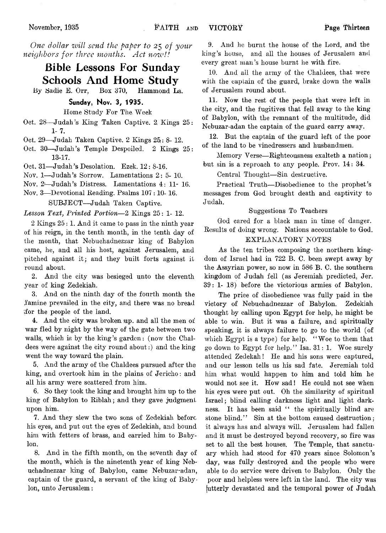*One dollar will send the paper to* 25 *of your neighbors for three months*. *Act nozv!!*

# **Bible Lessons For Sunday Schools And Home Study**

By Sadie E. Orr, Box 370, Hammond La.

#### **Sunday, Nov.** *3,* **1935.**

Home Study For The. Week

Oct. 28— Judah's King Taken Captive. 2. Kings 25: 1- 7.

Oct. 29—Judah Taken Captive. 2 Kings  $25:8-12$ .

Oct. 30—Judah's Temple Despoiled. 2 Kings 25: 13-17.

Oct. 31— Judah's Desolation. Ezek. 12 : 8-16.

Nov. 1— Judah's Sorrow. Lamentations 2: 5- 10.

Nov. *2-*—Judah's Distress. Lamentations 4: 11- 16.

Nov. 3— Devotional Beading. Psalms 107 :10-16.

SUBJECT— Judah Taken Captive.

#### *Lesson Text*, *Printed Portion*— 2 Kings 25: 1- 12.

2 Kings 25:1. And it came to pass in the ninth year of his reign, in the tenth month, in the tenth day of the month, that Nebuchadnezzar king of Babylon came, he, and all his host, against Jerusalem, and pitched against it; and they built forts against it round about.

2. And the city was besieged unto the eleventh year of king Zedekiah.

3. And on the ninth day of the fourth month the .famine prevailed in the city, and there was no bread ifor the people of the land.

4. And the city was broken up. and all the men of war fled by night by the way of the gate between two walls, which is by the king's garden: (now the Chaldees were against the city round about:) and the king went the way toward the plain.

5. And the army of the Chaldees pursued after the king, and overtook him in the plains of Jericho: and all his army were scattered from him.

6. So they took the king and brought him up to the king of Babylon to Riblah; and they gave judgment upon him.

7. And they slew the two sons of Zedekiah before his eyes, and put out the eyes of Zedekiah, and bound him with fetters of brass, and carried him to Babylon.

8. And in the fifth month, on the seventh day of the month, which is the ninetenth year of king Nebuchadnezzar king of Babylon, came Nebuzar-adan, captain of the guard, a servant of the king of Babylon, unto Jerusalem:

9. And he burnt the house of the Lord, and the king's house, and all the houses of Jerusalem and every great man's house burnt he with fire.

10. And all the army of the Chaldees, that were with the captain of the guard, brake down the walls of Jerusalem round about.

11. Now the rest of the people that were left in the city, and the fugitives that fell away to the king of Babylon, with the remnant of the multitude, did Nebuzar-adan the captain of the guard carry away.

12. But the captain of the guard left of the poor of the land to be vinedressers and husbandmen.

Memory Verse—Righteousness exalteth a nation ; but sin is a reproach to any people. Prov. 14: 34.

Central Thought— Sin destructive.

Practical Truth— Disobedience to the prophet's messages from God brought death and captivity to Judah.

#### Suggestions To Teachers

God cared for a black man in time of danger. Results of doing wrong. Nations accountable to God.

#### EXPLANATORY NOTES

As the ten tribes composing the northern kingdom of Israel had in 722 B. C. been swept away by the Assyrian power, so now in 586 B. C. the southern kingdom of Judah fell (as Jeremiah predicted, Jer. 39: 1- 18) before the victorious armies of Babylon.

The price of disobedience was fully paid in the victory of Nebuchadnezzar of Babylon. Zedekiah thought by calling upon Egypt for help, he might be able to win. But it was a failure, and spiritually speaking, it is always failure to go to the world (of which Egypt is a type) for help. "Woe to them that go down to Egypt for help." Isa. 31: 1. Woe surely attended Zedekah! He and his sons were captured, and our lesson tells us his sad fate. Jeremiah told him what would happen to him and told him he would not see it. How sad! He could not see when his eyes were put out. Oh the similarity of spiritual Israel; blind calling darkness light and light darkness. It has been said " the spiritually blind are stone blind." Sin at the bottom caused destruction; it always has and always will. Jerusalem had fallen and it must be destroyed beyond recovery, so fire was set to all the best houses. The Temple, that sanctuary which had stood for 470 years since Solomon's day, was fully destroyed and the people who were able to do service were driven to Babylon. Only the poor and helpless were left in the land. The city was (utterly devastated and the temporal power of Judah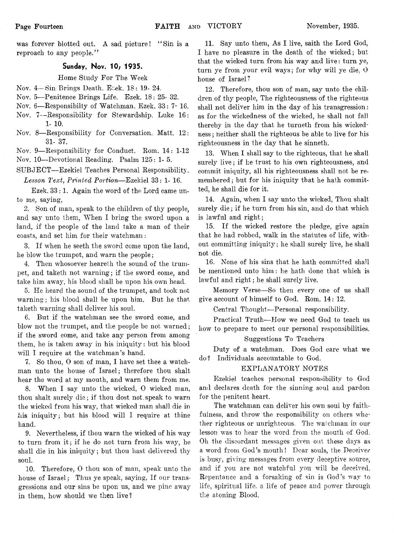was forever blotted out. A sad picture! "Sin is a reproach to any people."

#### **Sunday, Nov. 10/ 1935.**

Home Study For The Week

- Nov. 4-Sin Brings Death. Eack. 18: 19- 24.
- Nov. 5— Penitence Brings Life. Ezek. 18: 25- 32.
- Nov. 6— Responsibilty of Watchman. Ezek. 33: 7- 16.
- Nov. 7— Responsibility for Stewardship. Luke 16: **1- 10.**
- Nov. 8— Responsibility for Conversation. Matt. 12: 31- 37.
- Nov. 9— Responsibility for Conduct. Rom. 14: 1-12 Nov. 10— Devotional Reading. Psalm 125: 1- 5.
- SUBJECT— Ezekiel Teaches Personal Responsibility. *Lesson Text, Printed Portion*— Ezekiel 33: 1- 16.

Ezek. 33: 1. Again the word of the Lord came unto me, saying,

2. Son of man, speak to the children of thy people, and say unto them, When I bring the sword upon a land, if the people of the land take a man of their coasts, and set him for their watchman:

3. If when he seeth the sword come upon the land, he blow the trumpet, and warn the people;

4. Then whosoever heareth the sound of the trumpet, and taketh not warning ; if the sword come, and take him away, his blood shall be upon his own head.

5. He heard the sound of the trumpet, and took not warning; his blood shall be upon him. But he that taketh warning shall deliver his soul.

6. But if the watchman see the sword come, and blow not the trumpet, and the people be not warned; if the sword come, and take any person from among them, he is taken away in his iniquity: but his blood will I require at the watchman's hand.

7. So thou, 0 son of man, I have set thee a watchman unto the house of Israel; therefore thou shalt hear the word at my mouth, and warn them from me.

8. When I say unto the wicked, 0 wicked man, thou shalt surely die; if thou dost not, speak to warn the wicked from his way, that wicked man shall die in his iniquity; but his blood will I require at thine hand.

9. Nevertheless, if thou warn the wicked of his way to turn from it; if he do not turn from his way, he shall die in his iniquity; but thou hast delivered thy soul.

10. Therefore, 0 thou son of man, speak unto the house of Israel; Thus ye speak, saying, If our transgressions and our sins be upon us, and we pine away in them, how should we then live?

11. Say unto them, As I live, saith the Lord God, I have no pleasure in the death of the wicked; but that the wicked turn from his way and live: turn ye, turn ye from your evil ways; for why will ye die, O house of Israel?

12. Therefore, thou son of man, say unto the children of thy people, The righteousness of the righteous shall not deliver him in the day of his transgression: as for the wickedness of the wicked, he shall not fail thereby in the day that he turneth from his wickedness ; neither shall the righteous be able to live for his righteousness in the day that he sinneth.

13. When I shall say to the righteous, that he shall surely live; if he trust to his own righteousness, and commit iniquity, all his righteousness shall not be remembered; but for his iniquity that he hath committed, he shall die for it.

14. Again, when I say unto the wicked, Thou shalt surely die; if he turn from his sin, and do that which is lawful and right;

15. If the wicked restore the pledge, give again that he had robbed, walk in the statutes of life, without committing iniquity; he shall surely live, he shall not die.

16. None of his sins that he hath committed shall be mentioned unto him: he hath done that which is lawful and right; he shall surely live.

Memory Yerse— So then every one of us shall give account of himself to God. Rom. 14: 12.

Central Thought— Personal responsibility.

Practical Truth— How we need God to teach us how to prepare to meet our personal responsibilities.

#### Suggestions To Teachers

Duty of a watchman. Does God care what we do? Individuals accountable to God.

#### EXPLANATORY NOTES

Ezekiel teaches personal responsibility to God and declares death for the sinning soul and pardon for the penitent heart.

The watchman can deliver his own soul by faithfulness, and throw the responsibility on others whether righteous or unrighteous. The walchman in our lesson was to hear the word from the mouth of God. Oh the discordant messages given out these days as a word from God's mouth! Dear souls, the Deceiver is busy, giving messages from every deceptive source, and if you are not watchful you will be deceived. Repentance and a forsaking of sin is God's wav to life, spiritual life, a life of peace and power through tlie atoning Blood.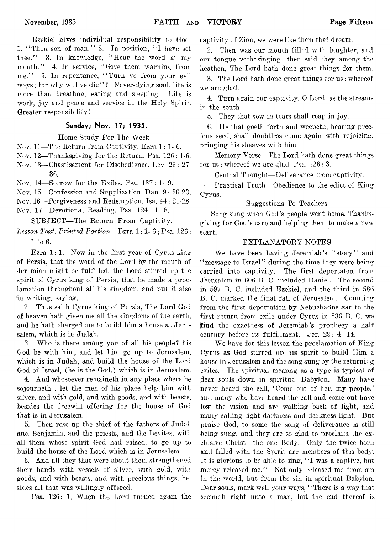Ezekiel gives individual responsibility to God. 1. "Thou son of man." 2. In position, "I have set thee." 3. In knowledge, " Hear the word at my mouth." 4. In service, " Give them warning from me." 5. In repentance, "Turn ye from your evil ways; for why will ye die"? Never-dying soul, life is more than breathng, eating and sleeping. Life is work, joy and peace and service in the Holy Spirit, Greater responsibility!

#### **Sunday; Nov. 17; 1935.**

Home Study For The Week

Nov 11— The Return from Captivity. Ezra 1:1-6.

Nov. 12— Thanksgiving for the Return. Fsa. 126: 1-6.

Nov. 13— Chastisement for Disobedience. Lev. 26: 27- 36.

Nov. 14— Sorrow for the Exiles. Psa. 137: 1- 9.

Nov. 15— Confession and Supplication. Dan. 9: 26-23.

Nov. 16—Forgiveness and Redemption. Isa. 44: 21-28.

Nov. 17—Devotional Reading. Psa. 124: 1- 8.

SUBJECT— The Return From Captivity.

*Lesson Text*, *Printed Portion*— Ezra 1:1-6; Psa. 126 : 1 to 6.

Ezra 1: 1. Now in the first year of Cyrus king of Persia, that the word of the Lord by the mouth of Jeremiah might be fulfilled, the Lord stirred up the spirit of Cyrus king of Persia, that he made a proclamation throughout all his kingdom, and put it also *in* writing, saying,

2. Thus saith Cyrus king of Persia, The Lord God of heaven hath given me all the kingdoms of the earth, and he hath charged me to build him a house at Jerusalem, which is in Judah.

3. Who is there among you of all his people? his God be with him, and let him go up to Jerusalem, which is in Judah, and build the house of the Lord God of Israel, (he is the God,) which is in Jerusalem.

4. And whosoever remaineth in any place where he sojourneth . let the men of his place help him with silver, and with gold, and with goods, and with beasts, besides the freewill offering for the house of God that is in Jerusalem.

5. Then rose up the chief of the fathers of Judah and Benjamin, and the priests, and the Levites, with all them whose spirit God had raised, to go up to build the house of the Lord which is in Jerusalem.

6. And all they that were about them strengthened their hands with vessels of silver, with gold, with goods, and with beasts, and with precious things, besides all that was willingly offered.

Psa. 126: 1. When the Lord turned again the

captivity of Zion, we were like them that dream.

2. Then was our mouth filled with laughter, and our tongue with\*singing: then said they among the heathen, The Lord hath done great things for them.

3. The Lord hath done great things for us; whereof we are glad.

4. Turn again our captivity. 0 Lord, as the streams in the south.

5. They that sow in tears shall reap in joy.

6. He that goeth forth and weepeth, bearing precious seed, shall doubtless come again with rejoicing, bringing his sheaves with him.

Memory Verse— The Lord hath done great things for us; whereof we are glad. Psa. 126: 3.

Central Thought—Deliverance from captivity.

Practical Truth—Obedience to the edict of King Cyrus.

#### Suggestions To Teachers

Song sung when God's people went home. Thanksgiving for God's care and helping them to make a new start.

#### EXPLANATORY NOTES

We have been having Jeremiah's "story" and " message to Israel" during the time they were being carried into captivity. The first deportaton from Jerusalem in 606 B. C. included Daniel. The second in 597 B. C. included Ezekiel, and the third in 586 B. C. marked the final fall of Jerusalem. Counting from the first deportation by Nebuchadne zar to the first return from exile under Cyrus in 536 B. C. we [find the exactness of Jeremiah's prophecy a half century before its fulfillment. Jer. 29: 4- 14.

We have for this lesson the proclamation of King Cyrus as God stirred up his spirit to build Him a house in Jerusalem and the song sung by the returning exiles. The spiritual meanng as a type is typical of dear souls down in spiritual Babylon. Many have never heard the call, 'Come out of her, my people.' and many who have heard the call and come out have lost the vision and are walking back of light, and many calling light darkness and darkness light. But praise God, to some the song of deliverance is still being sung, and they are so glad to proclaim the exclusive Christ— the one Body. Only the twice born and filled with the Spirit are members of this body. It is glorious to be able to sing, "I was a captive, but mercy released me." Not only released me from sin in the world, but from the sin in spiritual Babylon. Dear souls, mark well your ways, "There is a way that seemeth right unto a man, but the end thereof is